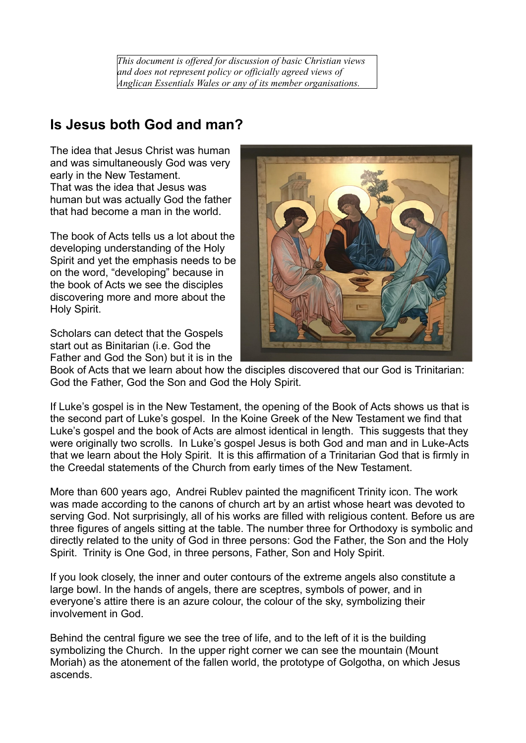*This document is offered for discussion of basic Christian views and does not represent policy or officially agreed views of Anglican Essentials Wales or any of its member organisations.*

## **Is Jesus both God and man?**

The idea that Jesus Christ was human and was simultaneously God was very early in the New Testament. That was the idea that Jesus was human but was actually God the father that had become a man in the world.

The book of Acts tells us a lot about the developing understanding of the Holy Spirit and yet the emphasis needs to be on the word, "developing" because in the book of Acts we see the disciples discovering more and more about the Holy Spirit.

Scholars can detect that the Gospels start out as Binitarian (i.e. God the Father and God the Son) but it is in the



Book of Acts that we learn about how the disciples discovered that our God is Trinitarian: God the Father, God the Son and God the Holy Spirit.

If Luke's gospel is in the New Testament, the opening of the Book of Acts shows us that is the second part of Luke's gospel. In the Koine Greek of the New Testament we find that Luke's gospel and the book of Acts are almost identical in length. This suggests that they were originally two scrolls. In Luke's gospel Jesus is both God and man and in Luke-Acts that we learn about the Holy Spirit. It is this affirmation of a Trinitarian God that is firmly in the Creedal statements of the Church from early times of the New Testament.

More than 600 years ago, Andrei Rublev painted the magnificent Trinity icon. The work was made according to the canons of church art by an artist whose heart was devoted to serving God. Not surprisingly, all of his works are filled with religious content. Before us are three figures of angels sitting at the table. The number three for Orthodoxy is symbolic and directly related to the unity of God in three persons: God the Father, the Son and the Holy Spirit. Trinity is One God, in three persons, Father, Son and Holy Spirit.

If you look closely, the inner and outer contours of the extreme angels also constitute a large bowl. In the hands of angels, there are sceptres, symbols of power, and in everyone's attire there is an azure colour, the colour of the sky, symbolizing their involvement in God.

Behind the central figure we see the tree of life, and to the left of it is the building symbolizing the Church. In the upper right corner we can see the mountain (Mount Moriah) as the atonement of the fallen world, the prototype of Golgotha, on which Jesus ascends.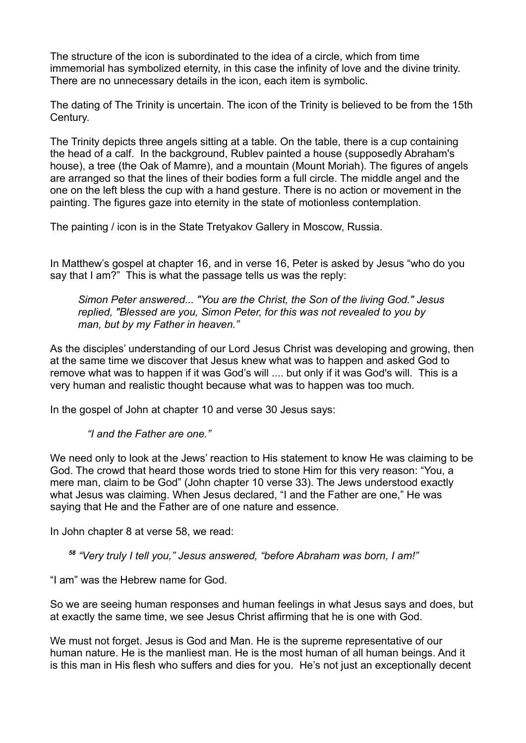The structure of the icon is subordinated to the idea of a circle, which from time immemorial has symbolized eternity, in this case the infinity of love and the divine trinity. There are no unnecessary details in the icon, each item is symbolic.

The dating of The Trinity is uncertain. The icon of the Trinity is believed to be from the 15th Century.

The Trinity depicts three angels sitting at a table. On the table, there is a cup containing the head of a calf. In the background, Rublev painted a house (supposedly Abraham's house), a tree (the Oak of Mamre), and a mountain (Mount Moriah). The figures of angels are arranged so that the lines of their bodies form a full circle. The middle angel and the one on the left bless the cup with a hand gesture. There is no action or movement in the painting. The figures gaze into eternity in the state of motionless contemplation.

The painting / icon is in the State Tretyakov Gallery in Moscow, Russia.

In Matthew's gospel at chapter 16, and in verse 16, Peter is asked by Jesus "who do you say that I am?" This is what the passage tells us was the reply:

*Simon Peter answered... "You are the Christ, the Son of the living God." Jesus replied, "Blessed are you, Simon Peter, for this was not revealed to you by man, but by my Father in heaven."*

As the disciples' understanding of our Lord Jesus Christ was developing and growing, then at the same time we discover that Jesus knew what was to happen and asked God to remove what was to happen if it was God's will .... but only if it was God's will. This is a very human and realistic thought because what was to happen was too much.

In the gospel of John at chapter 10 and verse 30 Jesus says:

*"I and the Father are one."*

We need only to look at the Jews' reaction to His statement to know He was claiming to be God. The crowd that heard those words tried to stone Him for this very reason: "You, a mere man, claim to be God" (John chapter 10 verse 33). The Jews understood exactly what Jesus was claiming. When Jesus declared, "I and the Father are one," He was saying that He and the Father are of one nature and essence.

In John chapter 8 at verse 58, we read:

*<sup>58</sup> "Very truly I tell you," Jesus answered, "before Abraham was born, I am!"*

"I am" was the Hebrew name for God.

So we are seeing human responses and human feelings in what Jesus says and does, but at exactly the same time, we see Jesus Christ affirming that he is one with God.

We must not forget. Jesus is God and Man. He is the supreme representative of our human nature. He is the manliest man. He is the most human of all human beings. And it is this man in His flesh who suffers and dies for you. He's not just an exceptionally decent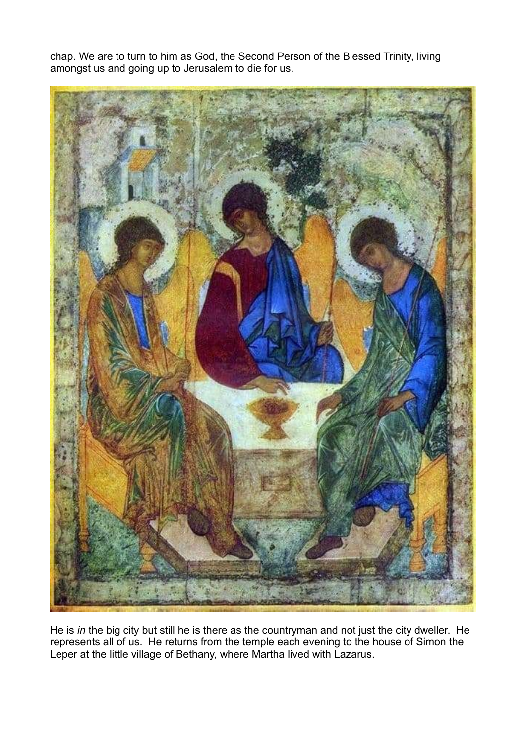chap. We are to turn to him as God, the Second Person of the Blessed Trinity, living amongst us and going up to Jerusalem to die for us.



He is *in* the big city but still he is there as the countryman and not just the city dweller. He represents all of us. He returns from the temple each evening to the house of Simon the Leper at the little village of Bethany, where Martha lived with Lazarus.